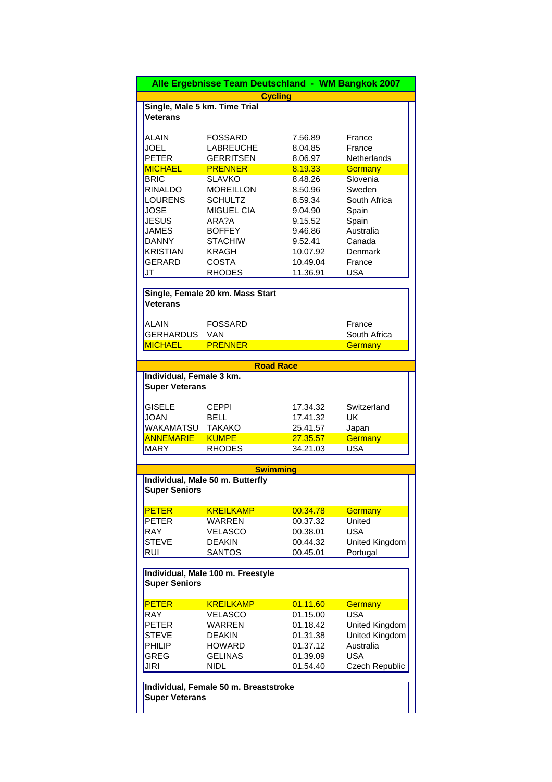|                          |                                       | Alle Ergebnisse Team Deutschland - WM Bangkok 2007 |                         |
|--------------------------|---------------------------------------|----------------------------------------------------|-------------------------|
|                          |                                       | <b>Cycling</b>                                     |                         |
|                          | Single, Male 5 km. Time Trial         |                                                    |                         |
| <b>Veterans</b>          |                                       |                                                    |                         |
|                          |                                       |                                                    |                         |
| ALAIN                    | <b>FOSSARD</b>                        | 7.56.89                                            | France                  |
| <b>JOEL</b>              | <b>LABREUCHE</b>                      | 8.04.85                                            | France                  |
| <b>PETER</b>             | <b>GERRITSEN</b>                      | 8.06.97                                            | <b>Netherlands</b>      |
| <b>MICHAEL</b>           | <b>PRENNER</b>                        | 8.19.33                                            | Germany                 |
| <b>BRIC</b>              | <b>SLAVKO</b>                         | 8.48.26                                            | Slovenia                |
| RINALDO                  | <b>MOREILLON</b>                      | 8.50.96                                            | Sweden                  |
| <b>LOURENS</b>           | <b>SCHULTZ</b>                        | 8.59.34                                            | South Africa            |
| <b>JOSE</b>              | <b>MIGUEL CIA</b>                     | 9.04.90                                            | Spain                   |
| <b>JESUS</b>             | ARA?A                                 | 9.15.52                                            | Spain                   |
| <b>JAMES</b>             | <b>BOFFEY</b>                         | 9.46.86                                            | Australia               |
| <b>DANNY</b>             | <b>STACHIW</b>                        | 9.52.41                                            | Canada                  |
| <b>KRISTIAN</b>          | <b>KRAGH</b>                          | 10.07.92                                           | Denmark                 |
| <b>GERARD</b>            | <b>COSTA</b>                          | 10.49.04                                           | France                  |
| JT                       | <b>RHODES</b>                         | 11.36.91                                           | <b>USA</b>              |
|                          | Single, Female 20 km. Mass Start      |                                                    |                         |
| Veterans                 |                                       |                                                    |                         |
| <b>ALAIN</b>             | <b>FOSSARD</b>                        |                                                    | France                  |
| <b>GERHARDUS</b>         | VAN                                   |                                                    | South Africa            |
| <b>MICHAEL</b>           | <b>PRENNER</b>                        |                                                    | <b>Germany</b>          |
|                          |                                       |                                                    |                         |
|                          |                                       | <b>Road Race</b>                                   |                         |
| Individual, Female 3 km. |                                       |                                                    |                         |
| <b>Super Veterans</b>    |                                       |                                                    |                         |
| <b>GISELE</b>            | <b>CEPPI</b>                          | 17.34.32                                           | Switzerland             |
| <b>JOAN</b>              | <b>BELL</b>                           | 17.41.32                                           | UK                      |
| WAKAMATSU                | <b>TAKAKO</b>                         | 25.41.57                                           |                         |
| <b>ANNEMARIE</b>         | <b>KUMPE</b>                          | 27.35.57                                           | Japan<br><b>Germany</b> |
| MARY                     | <b>RHODES</b>                         | 34.21.03                                           | USA                     |
|                          |                                       |                                                    |                         |
|                          |                                       | <b>Swimming</b>                                    |                         |
|                          | Individual, Male 50 m. Butterfly      |                                                    |                         |
| <b>Super Seniors</b>     |                                       |                                                    |                         |
| <b>PETER</b>             | <b>KREILKAMP</b>                      | 00.34.78                                           | Germany                 |
| <b>PETER</b>             | WARREN                                | 00.37.32                                           | United                  |
| <b>RAY</b>               | <b>VELASCO</b>                        | 00.38.01                                           | USA                     |
| <b>STEVE</b>             | <b>DEAKIN</b>                         | 00.44.32                                           | United Kingdom          |
| <b>RUI</b>               | <b>SANTOS</b>                         | 00.45.01                                           | Portugal                |
|                          |                                       |                                                    |                         |
| <b>Super Seniors</b>     | Individual, Male 100 m. Freestyle     |                                                    |                         |
|                          |                                       |                                                    |                         |
| <b>PETER</b>             | <b>KREILKAMP</b>                      | 01.11.60                                           | Germany                 |
| RAY                      | VELASCO                               | 01.15.00                                           | <b>USA</b>              |
| <b>PETER</b>             | WARREN                                | 01.18.42                                           | United Kingdom          |
| <b>STEVE</b>             | <b>DEAKIN</b>                         | 01.31.38                                           | United Kingdom          |
| PHILIP                   | <b>HOWARD</b>                         | 01.37.12                                           | Australia               |
| <b>GREG</b>              | <b>GELINAS</b>                        | 01.39.09                                           | <b>USA</b>              |
| JIRI                     | NIDL                                  | 01.54.40                                           | Czech Republic          |
|                          |                                       |                                                    |                         |
|                          | Individual, Female 50 m. Breaststroke |                                                    |                         |
| <b>Super Veterans</b>    |                                       |                                                    |                         |
|                          |                                       |                                                    |                         |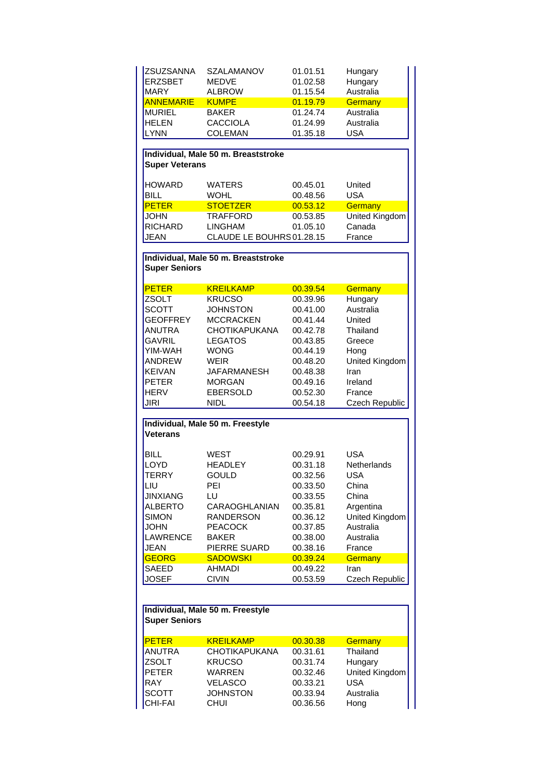| <b>ZSUZSANNA</b>            | SZALAMANOV                          | 01.01.51             | Hungary           |
|-----------------------------|-------------------------------------|----------------------|-------------------|
| <b>ERZSBET</b>              | <b>MEDVE</b>                        | 01.02.58             | Hungary           |
| <b>MARY</b>                 | <b>ALBROW</b>                       | 01.15.54             | Australia         |
| <b>ANNEMARIE</b>            | <b>KUMPE</b>                        | 01.19.79             | Germany           |
| <b>MURIEL</b>               | <b>BAKER</b>                        | 01.24.74             | Australia         |
| <b>HELEN</b>                | <b>CACCIOLA</b>                     | 01.24.99             | Australia         |
|                             | <b>COLEMAN</b>                      | 01.35.18             | <b>USA</b>        |
| <b>LYNN</b>                 |                                     |                      |                   |
|                             | Individual, Male 50 m. Breaststroke |                      |                   |
| <b>Super Veterans</b>       |                                     |                      |                   |
|                             |                                     |                      |                   |
| <b>HOWARD</b>               | <b>WATERS</b>                       | 00.45.01             | United            |
| <b>BILL</b>                 | <b>WOHL</b>                         | 00.48.56             | <b>USA</b>        |
| <b>PETER</b>                | <b>STOETZER</b>                     | 00.53.12             | Germany           |
| <b>JOHN</b>                 | <b>TRAFFORD</b>                     | 00.53.85             | United Kingdom    |
| <b>RICHARD</b>              | <b>LINGHAM</b>                      | 01.05.10             | Canada            |
| <b>JEAN</b>                 | CLAUDE LE BOUHRS 01.28.15           |                      | France            |
|                             |                                     |                      |                   |
|                             |                                     |                      |                   |
| <b>Super Seniors</b>        | Individual, Male 50 m. Breaststroke |                      |                   |
|                             |                                     |                      |                   |
| <b>PETER</b>                | <b>KREILKAMP</b>                    | 00.39.54             | Germany           |
| <b>ZSOLT</b>                | <b>KRUCSO</b>                       | 00.39.96             | Hungary           |
| <b>SCOTT</b>                | <b>JOHNSTON</b>                     | 00.41.00             | Australia         |
| <b>GEOFFREY</b>             | <b>MCCRACKEN</b>                    | 00.41.44             | United            |
| <b>ANUTRA</b>               | <b>CHOTIKAPUKANA</b>                | 00.42.78             | Thailand          |
| <b>GAVRIL</b>               | LEGATOS                             | 00.43.85             | Greece            |
| YIM-WAH                     | WONG                                | 00.44.19             | Hong              |
| <b>ANDREW</b>               | <b>WEIR</b>                         | 00.48.20             | United Kingdom    |
| <b>KEIVAN</b>               | <b>JAFARMANESH</b>                  | 00.48.38             | Iran              |
|                             |                                     |                      |                   |
| <b>PETER</b>                | <b>MORGAN</b>                       | 00.49.16             | Ireland           |
| <b>HERV</b>                 | <b>EBERSOLD</b>                     | 00.52.30             | France            |
| <b>JIRI</b>                 | NIDL                                | 00.54.18             | Czech Republic    |
|                             | Individual, Male 50 m. Freestyle    |                      |                   |
| <b>Veterans</b>             |                                     |                      |                   |
|                             |                                     |                      |                   |
| <b>BILL</b>                 | <b>WEST</b>                         | 00.29.91             | <b>USA</b>        |
| LOYD                        | <b>HEADLEY</b>                      | 00.31.18             | Netherlands       |
| <b>TERRY</b>                | <b>GOULD</b>                        | 00.32.56             | <b>USA</b>        |
| LIU                         | PEI                                 | 00.33.50             | China             |
| <b>JINXIANG</b>             | LU                                  | 00.33.55             | China             |
| <b>ALBERTO</b>              | <b>CARAOGHLANIAN</b>                | 00.35.81             | Argentina         |
| SIMON                       | <b>RANDERSON</b>                    | 00.36.12             | United Kingdom    |
| <b>JOHN</b>                 | <b>PEACOCK</b>                      | 00.37.85             | Australia         |
| <b>LAWRENCE</b>             | BAKER                               | 00.38.00             | Australia         |
|                             |                                     |                      |                   |
| <b>JEAN</b><br><b>GEORG</b> | PIERRE SUARD<br><b>SADOWSKI</b>     | 00.38.16             | France            |
|                             |                                     | 00.39.24             | Germany           |
| SAEED                       | AHMADI                              | 00.49.22             | Iran              |
| <b>JOSEF</b>                | <b>CIVIN</b>                        | 00.53.59             | Czech Republic    |
|                             |                                     |                      |                   |
|                             | Individual, Male 50 m. Freestyle    |                      |                   |
| <b>Super Seniors</b>        |                                     |                      |                   |
|                             |                                     |                      |                   |
| <b>PETER</b>                | <b>KREILKAMP</b>                    | 00.30.38             | Germany           |
| <b>ANUTRA</b>               | <b>CHOTIKAPUKANA</b>                | 00.31.61             | Thailand          |
| ZSOLT                       | <b>KRUCSO</b>                       | 00.31.74             | Hungary           |
| <b>PETER</b>                | <b>WARREN</b>                       | 00.32.46             | United Kingdom    |
| <b>RAY</b>                  |                                     |                      | <b>USA</b>        |
|                             |                                     |                      |                   |
|                             | <b>VELASCO</b>                      | 00.33.21             |                   |
| <b>SCOTT</b><br>CHI-FAI     | <b>JOHNSTON</b><br><b>CHUI</b>      | 00.33.94<br>00.36.56 | Australia<br>Hong |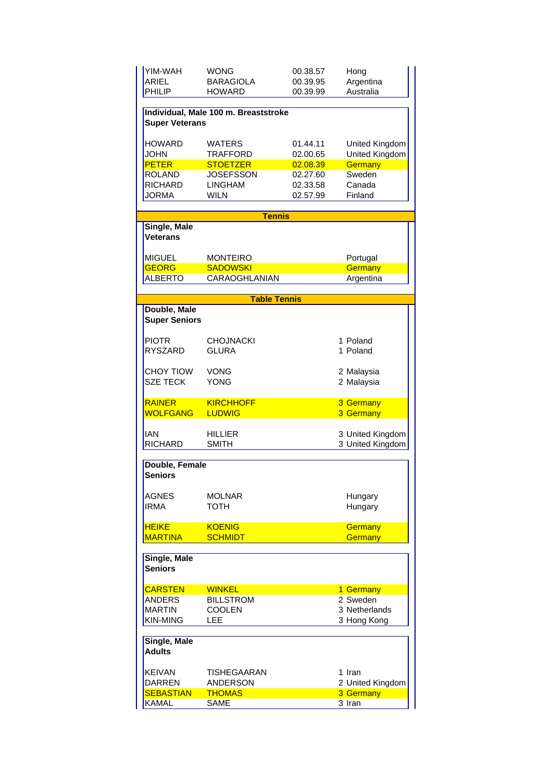| YIM-WAH<br><b>ARIEL</b><br>PHILIP | WONG<br><b>BARAGIOLA</b><br><b>HOWARD</b> | 00.38.57<br>00.39.95<br>00.39.99 | Hong<br>Argentina<br>Australia |
|-----------------------------------|-------------------------------------------|----------------------------------|--------------------------------|
|                                   | Individual, Male 100 m. Breaststroke      |                                  |                                |
| <b>Super Veterans</b>             |                                           |                                  |                                |
| <b>HOWARD</b>                     | <b>WATERS</b>                             | 01.44.11                         | United Kingdom                 |
| <b>JOHN</b>                       | <b>TRAFFORD</b>                           | 02.00.65                         | United Kingdom                 |
| <b>PETER</b>                      | <b>STOETZER</b>                           | 02.08.39                         | Germany                        |
| <b>ROLAND</b>                     | <b>JOSEFSSON</b>                          | 02.27.60                         | Sweden                         |
| <b>RICHARD</b>                    | <b>LINGHAM</b>                            | 02.33.58                         | Canada                         |
| JORMA                             | <b>WILN</b>                               | 02.57.99                         | Finland                        |
|                                   | <b>Tennis</b>                             |                                  |                                |
| Single, Male<br><b>Veterans</b>   |                                           |                                  |                                |
| <b>MIGUEL</b>                     | <b>MONTEIRO</b>                           |                                  | Portugal                       |
| <b>GEORG</b>                      | <b>SADOWSKI</b>                           |                                  | Germany                        |
| <b>ALBERTO</b>                    | <b>CARAOGHLANIAN</b>                      |                                  | Argentina                      |
|                                   | <b>Table Tennis</b>                       |                                  |                                |
| Double, Male                      |                                           |                                  |                                |
| <b>Super Seniors</b>              |                                           |                                  |                                |
| <b>PIOTR</b>                      | <b>CHOJNACKI</b>                          |                                  | 1 Poland                       |
| <b>RYSZARD</b>                    | <b>GLURA</b>                              |                                  | 1 Poland                       |
| <b>CHOY TIOW</b>                  | VONG                                      |                                  | 2 Malaysia                     |
| <b>SZE TECK</b>                   | <b>YONG</b>                               |                                  | 2 Malaysia                     |
| <b>RAINER</b>                     | <b>KIRCHHOFF</b>                          |                                  | 3 Germany                      |
| <b>WOLFGANG</b>                   | <b>LUDWIG</b>                             |                                  | 3 Germany                      |
|                                   | HILLIER                                   |                                  | 3 United Kingdom               |
| <b>IAN</b>                        |                                           |                                  |                                |
| <b>RICHARD</b>                    | <b>SMITH</b>                              |                                  | 3 United Kingdom               |
|                                   |                                           |                                  |                                |
| Double, Female<br><b>Seniors</b>  |                                           |                                  |                                |
| <b>AGNES</b>                      | MOLNAR                                    |                                  |                                |
| <b>IRMA</b>                       | <b>TOTH</b>                               |                                  | Hungary<br>Hungary             |
|                                   |                                           |                                  |                                |
| <b>HEIKE</b>                      | <b>KOENIG</b>                             |                                  | Germany                        |
| <b>MARTINA</b>                    | <b>SCHMIDT</b>                            |                                  | Germany                        |
| Single, Male<br><b>Seniors</b>    |                                           |                                  |                                |
| <b>CARSTEN</b>                    | <b>WINKEL</b>                             |                                  | 1 Germany                      |
| <b>ANDERS</b>                     | BILLSTROM                                 |                                  | 2 Sweden                       |
| <b>MARTIN</b>                     | <b>COOLEN</b>                             |                                  | 3 Netherlands                  |
| <b>KIN-MING</b>                   | <b>LEE</b>                                |                                  | 3 Hong Kong                    |
| Single, Male<br><b>Adults</b>     |                                           |                                  |                                |
|                                   |                                           |                                  |                                |
| <b>KEIVAN</b><br>DARREN           | TISHEGAARAN<br><b>ANDERSON</b>            |                                  | 1 Iran                         |
| <b>SEBASTIAN</b>                  | <b>THOMAS</b>                             |                                  | 2 United Kingdom<br>3 Germany  |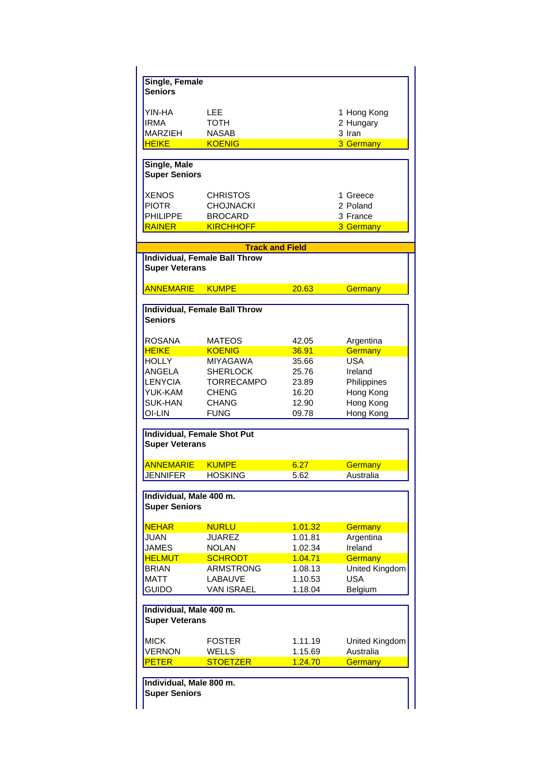| Single, Female          |                                      |         |                |
|-------------------------|--------------------------------------|---------|----------------|
| <b>Seniors</b>          |                                      |         |                |
|                         |                                      |         |                |
| YIN-HA                  | LEE                                  |         | 1 Hong Kong    |
| IRMA                    | <b>TOTH</b>                          |         | 2 Hungary      |
| <b>MARZIEH</b>          | <b>NASAB</b>                         |         | 3 Iran         |
| <b>HEIKE</b>            | <b>KOENIG</b>                        |         | 3 Germany      |
|                         |                                      |         |                |
| Single, Male            |                                      |         |                |
| <b>Super Seniors</b>    |                                      |         |                |
|                         |                                      |         |                |
| <b>XENOS</b>            | CHRISTOS                             |         | 1 Greece       |
| <b>PIOTR</b>            | <b>CHOJNACKI</b>                     |         | 2 Poland       |
| <b>PHILIPPE</b>         | <b>BROCARD</b>                       |         | 3 France       |
| <b>RAINER</b>           | <b>KIRCHHOFF</b>                     |         | 3 Germany      |
|                         |                                      |         |                |
|                         | <b>Track and Field</b>               |         |                |
|                         | <b>Individual, Female Ball Throw</b> |         |                |
| <b>Super Veterans</b>   |                                      |         |                |
| ANNEMARIE               | <b>KUMPE</b>                         | 20.63   | Germany        |
|                         |                                      |         |                |
|                         | <b>Individual, Female Ball Throw</b> |         |                |
| <b>Seniors</b>          |                                      |         |                |
|                         |                                      |         |                |
| ROSANA                  | MATEOS                               | 42.05   | Argentina      |
| <b>HEIKE</b>            | <b>KOENIG</b>                        | 36.91   | Germany        |
| <b>HOLLY</b>            | MIYAGAWA                             | 35.66   | USA            |
| ANGELA                  | <b>SHERLOCK</b>                      | 25.76   | Ireland        |
| LENYCIA                 | <b>TORRECAMPO</b>                    | 23.89   | Philippines    |
| YUK-KAM                 | <b>CHENG</b>                         | 16.20   | Hong Kong      |
| <b>SUK-HAN</b>          | CHANG                                | 12.90   | Hong Kong      |
| oi-lin                  | <b>FUNG</b>                          | 09.78   | Hong Kong      |
|                         |                                      |         |                |
|                         | <b>Individual, Female Shot Put</b>   |         |                |
| <b>Super Veterans</b>   |                                      |         |                |
|                         |                                      |         |                |
| <b>ANNEMARIE</b>        | <b>KUMPE</b>                         | 6.27    | Germany        |
| JENNIFER                | <b>HOSKING</b>                       | 5.62    | Australia      |
|                         |                                      |         |                |
| Individual, Male 400 m. |                                      |         |                |
| <b>Super Seniors</b>    |                                      |         |                |
|                         |                                      |         |                |
| <b>NEHAR</b>            | <b>NURLU</b>                         | 1.01.32 | <b>Germany</b> |
| <b>JUAN</b>             | JUAREZ                               | 1.01.81 | Argentina      |
| JAMES                   | <b>NOLAN</b>                         | 1.02.34 | Ireland        |
| <b>HELMUT</b>           | SCHRODT                              | 1.04.71 | Germany        |
| BRIAN                   | ARMSTRONG                            | 1.08.13 | United Kingdom |
| MATT                    | LABAUVE                              | 1.10.53 | <b>USA</b>     |
| Guido                   | <b>VAN ISRAEL</b>                    | 1.18.04 | Belgium        |
|                         |                                      |         |                |
| Individual, Male 400 m. |                                      |         |                |
| <b>Super Veterans</b>   |                                      |         |                |
|                         |                                      |         |                |
| <b>MICK</b>             | <b>FOSTER</b>                        | 1.11.19 | United Kingdom |
| <b>VERNON</b>           | <b>WELLS</b>                         | 1.15.69 | Australia      |
| <b>PETER</b>            | <b>STOETZER</b>                      | 1.24.70 | Germany        |
|                         |                                      |         |                |
| Individual, Male 800 m. |                                      |         |                |
| <b>Super Seniors</b>    |                                      |         |                |
|                         |                                      |         |                |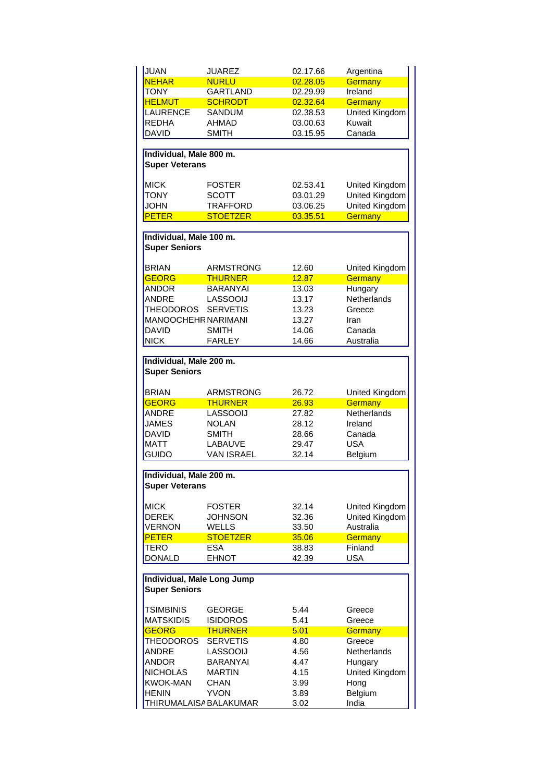| <b>JUAN</b>                | <b>JUAREZ</b>          | 02.17.66 | Argentina                 |
|----------------------------|------------------------|----------|---------------------------|
| <b>NEHAR</b>               | <b>NURLU</b>           | 02.28.05 | Germany                   |
| <b>TONY</b>                | <b>GARTLAND</b>        | 02.29.99 | Ireland                   |
| <b>HELMUT</b>              | <b>SCHRODT</b>         | 02.32.64 | Germany                   |
| <b>LAURENCE</b>            | SANDUM                 | 02.38.53 | United Kingdom            |
| REDHA                      | <b>AHMAD</b>           | 03.00.63 | Kuwait                    |
| <b>DAVID</b>               | <b>SMITH</b>           | 03.15.95 | Canada                    |
|                            |                        |          |                           |
| Individual, Male 800 m.    |                        |          |                           |
| <b>Super Veterans</b>      |                        |          |                           |
|                            |                        |          |                           |
| <b>MICK</b>                | <b>FOSTER</b>          | 02.53.41 | United Kingdom            |
| <b>TONY</b>                | <b>SCOTT</b>           | 03.01.29 | United Kingdom            |
| <b>JOHN</b>                | <b>TRAFFORD</b>        | 03.06.25 | United Kingdom            |
| <b>PETER</b>               | <b>STOETZER</b>        | 03.35.51 | <b>Germany</b>            |
|                            |                        |          |                           |
| Individual, Male 100 m.    |                        |          |                           |
| <b>Super Seniors</b>       |                        |          |                           |
|                            |                        |          |                           |
| BRIAN                      | <b>ARMSTRONG</b>       | 12.60    | United Kingdom            |
| <b>GEORG</b>               | <b>THURNER</b>         | 12.87    | Germany                   |
| <b>ANDOR</b>               | <b>BARANYAI</b>        | 13.03    | Hungary                   |
| <b>ANDRE</b>               | <b>LASSOOIJ</b>        | 13.17    | <b>Netherlands</b>        |
| THEODOROS                  | <b>SERVETIS</b>        | 13.23    | Greece                    |
| MANOOCHEHR NARIMANI        |                        | 13.27    | Iran                      |
| <b>DAVID</b>               | SMITH                  | 14.06    | Canada                    |
|                            |                        |          |                           |
| <b>NICK</b>                | <b>FARLEY</b>          | 14.66    | Australia                 |
| Individual, Male 200 m.    |                        |          |                           |
| <b>Super Seniors</b>       |                        |          |                           |
|                            |                        |          |                           |
| <b>BRIAN</b>               | <b>ARMSTRONG</b>       | 26.72    |                           |
| <b>GEORG</b>               | <b>THURNER</b>         | 26.93    | United Kingdom<br>Germany |
| <b>ANDRE</b>               | <b>LASSOOIJ</b>        | 27.82    | Netherlands               |
| <b>JAMES</b>               | <b>NOLAN</b>           |          |                           |
|                            | <b>SMITH</b>           | 28.12    | Ireland                   |
| <b>DAVID</b>               |                        | 28.66    | Canada                    |
| <b>MATT</b>                | LABAUVE                | 29.47    | <b>USA</b>                |
| <b>GUIDO</b>               | <b>VAN ISRAEL</b>      | 32.14    | Belgium                   |
|                            |                        |          |                           |
| Individual, Male 200 m.    |                        |          |                           |
| <b>Super Veterans</b>      |                        |          |                           |
|                            |                        |          |                           |
| MICK                       | <b>FOSTER</b>          | 32.14    | United Kingdom            |
| <b>DEREK</b>               | JOHNSON                | 32.36    | United Kingdom            |
| <b>VERNON</b>              | WELLS                  | 33.50    | Australia                 |
| <b>PETER</b>               | <b>STOETZER</b>        | 35.06    | Germany                   |
| TERO                       | <b>ESA</b>             | 38.83    | Finland                   |
| <b>DONALD</b>              | <b>EHNOT</b>           | 42.39    | <b>USA</b>                |
|                            |                        |          |                           |
| Individual, Male Long Jump |                        |          |                           |
| <b>Super Seniors</b>       |                        |          |                           |
|                            |                        |          |                           |
| TSIMBINIS                  | GEORGE                 | 5.44     | Greece                    |
| <b>MATSKIDIS</b>           | <b>ISIDOROS</b>        | 5.41     | Greece                    |
| <b>GEORG</b>               | <b>THURNER</b>         | 5.01     | Germany                   |
| <b>THEODOROS</b>           | <b>SERVETIS</b>        | 4.80     | Greece                    |
| <b>ANDRE</b>               | <b>LASSOOIJ</b>        | 4.56     | Netherlands               |
| <b>ANDOR</b>               | <b>BARANYAI</b>        | 4.47     | Hungary                   |
| <b>NICHOLAS</b>            | <b>MARTIN</b>          | 4.15     | United Kingdom            |
| <b>KWOK-MAN</b>            | CHAN                   | 3.99     | Hong                      |
| <b>HENIN</b>               | <b>YVON</b>            | 3.89     | Belgium                   |
|                            | THIRUMALAISA BALAKUMAR | 3.02     | India                     |